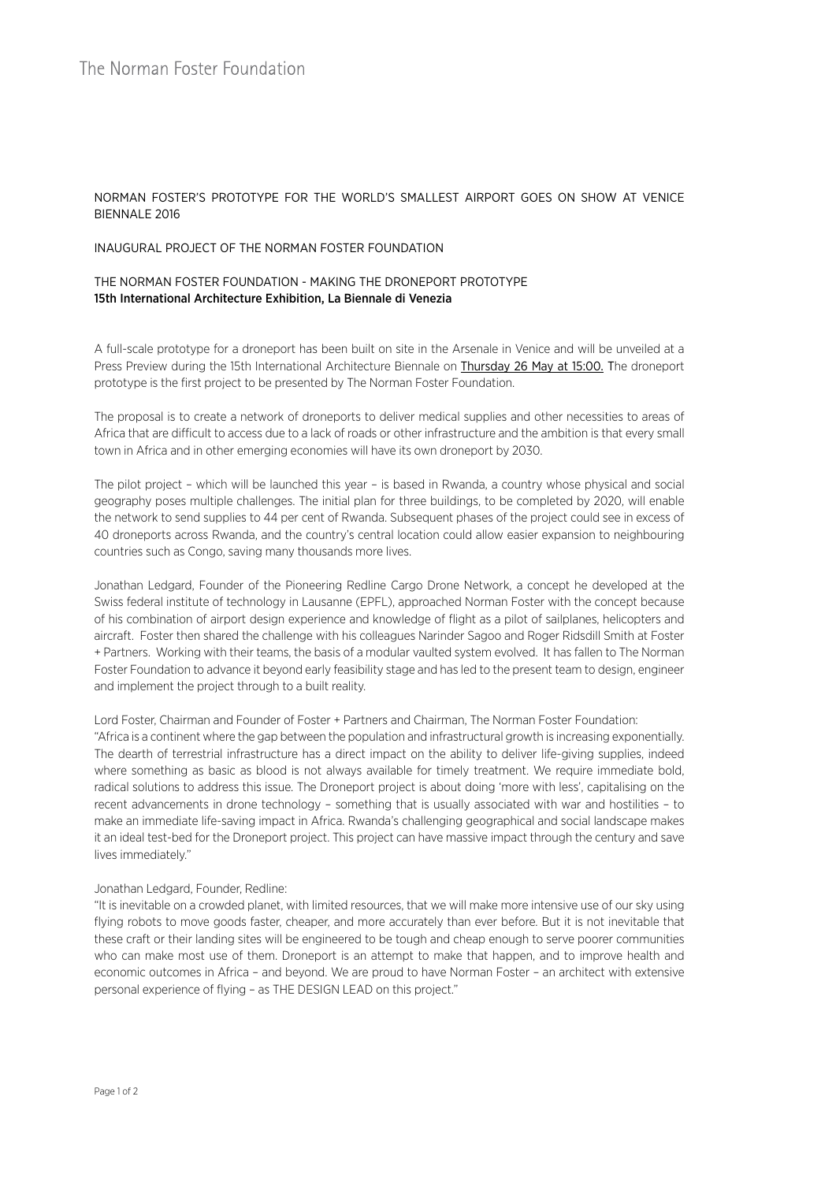# NORMAN FOSTER'S PROTOTYPE FOR THE WORLD'S SMALLEST AIRPORT GOES ON SHOW AT VENICE BIENNALE 2016

## INAUGURAL PROJECT OF THE NORMAN FOSTER FOUNDATION

## THE NORMAN FOSTER FOUNDATION - MAKING THE DRONEPORT PROTOTYPE 15th International Architecture Exhibition, La Biennale di Venezia

A full-scale prototype for a droneport has been built on site in the Arsenale in Venice and will be unveiled at a Press Preview during the 15th International Architecture Biennale on Thursday 26 May at 15:00. The droneport prototype is the first project to be presented by The Norman Foster Foundation.

The proposal is to create a network of droneports to deliver medical supplies and other necessities to areas of Africa that are difficult to access due to a lack of roads or other infrastructure and the ambition is that every small town in Africa and in other emerging economies will have its own droneport by 2030.

The pilot project – which will be launched this year – is based in Rwanda, a country whose physical and social geography poses multiple challenges. The initial plan for three buildings, to be completed by 2020, will enable the network to send supplies to 44 per cent of Rwanda. Subsequent phases of the project could see in excess of 40 droneports across Rwanda, and the country's central location could allow easier expansion to neighbouring countries such as Congo, saving many thousands more lives.

Jonathan Ledgard, Founder of the Pioneering Redline Cargo Drone Network, a concept he developed at the Swiss federal institute of technology in Lausanne (EPFL), approached Norman Foster with the concept because of his combination of airport design experience and knowledge of flight as a pilot of sailplanes, helicopters and aircraft. Foster then shared the challenge with his colleagues Narinder Sagoo and Roger Ridsdill Smith at Foster + Partners. Working with their teams, the basis of a modular vaulted system evolved. It has fallen to The Norman Foster Foundation to advance it beyond early feasibility stage and has led to the present team to design, engineer and implement the project through to a built reality.

Lord Foster, Chairman and Founder of Foster + Partners and Chairman, The Norman Foster Foundation:

"Africa is a continent where the gap between the population and infrastructural growth is increasing exponentially. The dearth of terrestrial infrastructure has a direct impact on the ability to deliver life-giving supplies, indeed where something as basic as blood is not always available for timely treatment. We require immediate bold, radical solutions to address this issue. The Droneport project is about doing 'more with less', capitalising on the recent advancements in drone technology – something that is usually associated with war and hostilities – to make an immediate life-saving impact in Africa. Rwanda's challenging geographical and social landscape makes it an ideal test-bed for the Droneport project. This project can have massive impact through the century and save lives immediately."

# Jonathan Ledgard, Founder, Redline:

"It is inevitable on a crowded planet, with limited resources, that we will make more intensive use of our sky using flying robots to move goods faster, cheaper, and more accurately than ever before. But it is not inevitable that these craft or their landing sites will be engineered to be tough and cheap enough to serve poorer communities who can make most use of them. Droneport is an attempt to make that happen, and to improve health and economic outcomes in Africa – and beyond. We are proud to have Norman Foster – an architect with extensive personal experience of flying – as THE DESIGN LEAD on this project."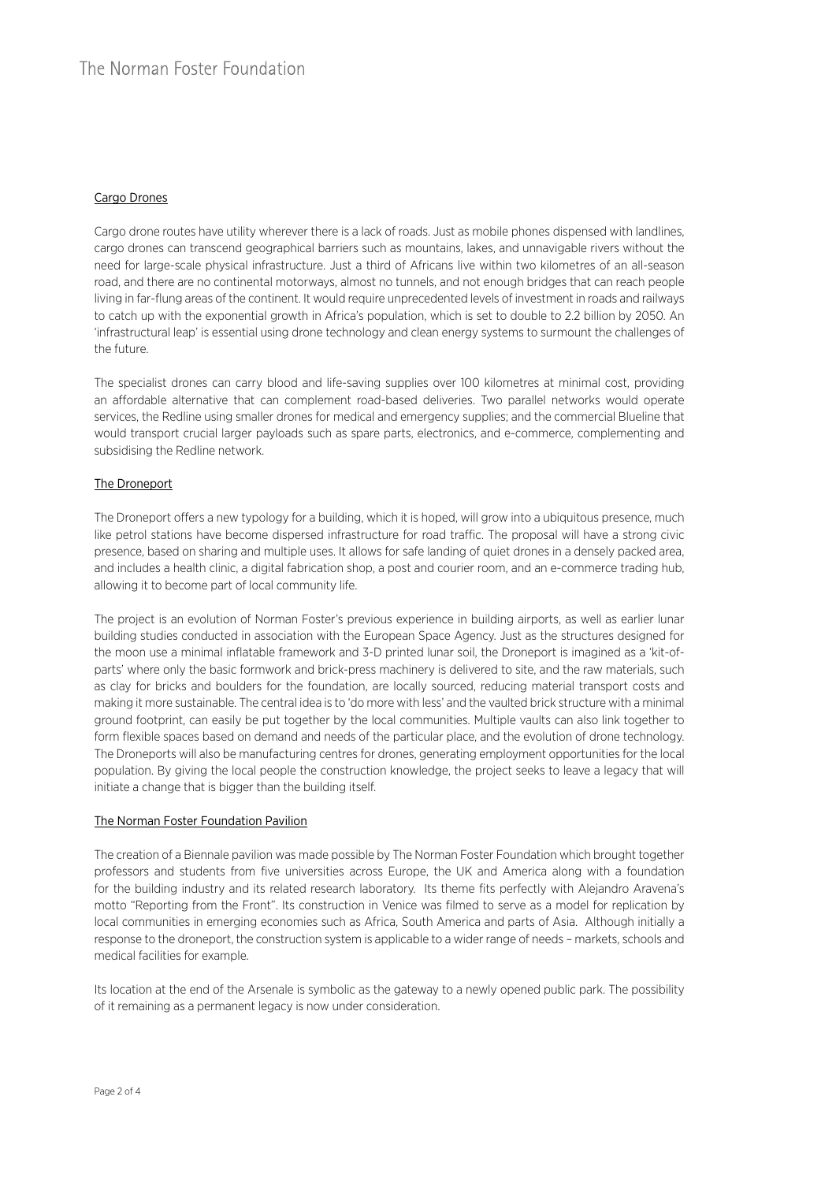# Cargo Drones

Cargo drone routes have utility wherever there is a lack of roads. Just as mobile phones dispensed with landlines, cargo drones can transcend geographical barriers such as mountains, lakes, and unnavigable rivers without the need for large-scale physical infrastructure. Just a third of Africans live within two kilometres of an all-season road, and there are no continental motorways, almost no tunnels, and not enough bridges that can reach people living in far-flung areas of the continent. It would require unprecedented levels of investment in roads and railways to catch up with the exponential growth in Africa's population, which is set to double to 2.2 billion by 2050. An 'infrastructural leap' is essential using drone technology and clean energy systems to surmount the challenges of the future.

The specialist drones can carry blood and life-saving supplies over 100 kilometres at minimal cost, providing an affordable alternative that can complement road-based deliveries. Two parallel networks would operate services, the Redline using smaller drones for medical and emergency supplies; and the commercial Blueline that would transport crucial larger payloads such as spare parts, electronics, and e-commerce, complementing and subsidising the Redline network.

#### The Droneport

The Droneport offers a new typology for a building, which it is hoped, will grow into a ubiquitous presence, much like petrol stations have become dispersed infrastructure for road traffic. The proposal will have a strong civic presence, based on sharing and multiple uses. It allows for safe landing of quiet drones in a densely packed area, and includes a health clinic, a digital fabrication shop, a post and courier room, and an e-commerce trading hub, allowing it to become part of local community life.

The project is an evolution of Norman Foster's previous experience in building airports, as well as earlier lunar building studies conducted in association with the European Space Agency. Just as the structures designed for the moon use a minimal inflatable framework and 3-D printed lunar soil, the Droneport is imagined as a 'kit-ofparts' where only the basic formwork and brick-press machinery is delivered to site, and the raw materials, such as clay for bricks and boulders for the foundation, are locally sourced, reducing material transport costs and making it more sustainable. The central idea is to 'do more with less' and the vaulted brick structure with a minimal ground footprint, can easily be put together by the local communities. Multiple vaults can also link together to form flexible spaces based on demand and needs of the particular place, and the evolution of drone technology. The Droneports will also be manufacturing centres for drones, generating employment opportunities for the local population. By giving the local people the construction knowledge, the project seeks to leave a legacy that will initiate a change that is bigger than the building itself.

#### The Norman Foster Foundation Pavilion

The creation of a Biennale pavilion was made possible by The Norman Foster Foundation which brought together professors and students from five universities across Europe, the UK and America along with a foundation for the building industry and its related research laboratory. Its theme fits perfectly with Alejandro Aravena's motto "Reporting from the Front". Its construction in Venice was filmed to serve as a model for replication by local communities in emerging economies such as Africa, South America and parts of Asia. Although initially a response to the droneport, the construction system is applicable to a wider range of needs – markets, schools and medical facilities for example.

Its location at the end of the Arsenale is symbolic as the gateway to a newly opened public park. The possibility of it remaining as a permanent legacy is now under consideration.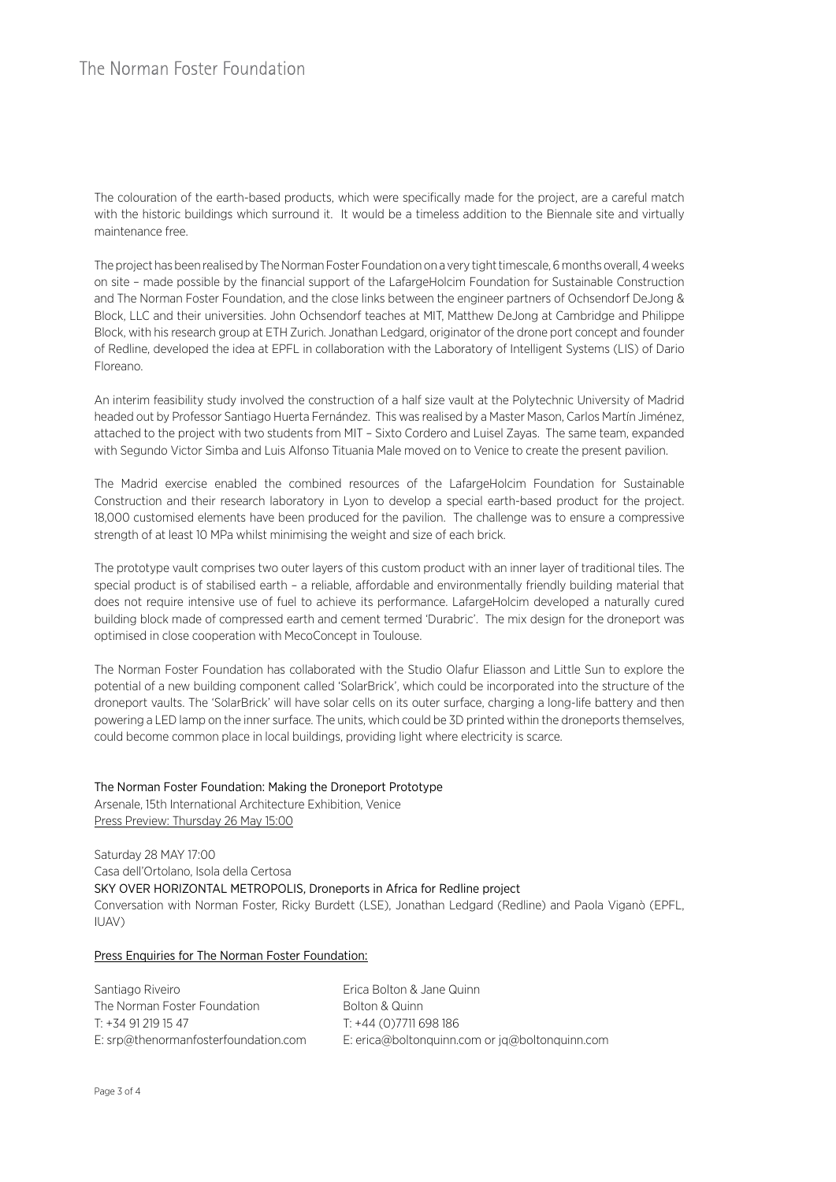The colouration of the earth-based products, which were specifically made for the project, are a careful match with the historic buildings which surround it. It would be a timeless addition to the Biennale site and virtually maintenance free.

The project has been realised by The Norman Foster Foundation on a very tight timescale, 6 months overall, 4 weeks on site – made possible by the financial support of the LafargeHolcim Foundation for Sustainable Construction and The Norman Foster Foundation, and the close links between the engineer partners of Ochsendorf DeJong & Block, LLC and their universities. John Ochsendorf teaches at MIT, Matthew DeJong at Cambridge and Philippe Block, with his research group at ETH Zurich. Jonathan Ledgard, originator of the drone port concept and founder of Redline, developed the idea at EPFL in collaboration with the Laboratory of Intelligent Systems (LIS) of Dario Floreano.

An interim feasibility study involved the construction of a half size vault at the Polytechnic University of Madrid headed out by Professor Santiago Huerta Fernández. This was realised by a Master Mason, Carlos Martín Jiménez, attached to the project with two students from MIT – Sixto Cordero and Luisel Zayas. The same team, expanded with Segundo Victor Simba and Luis Alfonso Tituania Male moved on to Venice to create the present pavilion.

The Madrid exercise enabled the combined resources of the LafargeHolcim Foundation for Sustainable Construction and their research laboratory in Lyon to develop a special earth-based product for the project. 18,000 customised elements have been produced for the pavilion. The challenge was to ensure a compressive strength of at least 10 MPa whilst minimising the weight and size of each brick.

The prototype vault comprises two outer layers of this custom product with an inner layer of traditional tiles. The special product is of stabilised earth – a reliable, affordable and environmentally friendly building material that does not require intensive use of fuel to achieve its performance. LafargeHolcim developed a naturally cured building block made of compressed earth and cement termed 'Durabric'. The mix design for the droneport was optimised in close cooperation with MecoConcept in Toulouse.

The Norman Foster Foundation has collaborated with the Studio Olafur Eliasson and Little Sun to explore the potential of a new building component called 'SolarBrick', which could be incorporated into the structure of the droneport vaults. The 'SolarBrick' will have solar cells on its outer surface, charging a long-life battery and then powering a LED lamp on the inner surface. The units, which could be 3D printed within the droneports themselves, could become common place in local buildings, providing light where electricity is scarce.

# The Norman Foster Foundation: Making the Droneport Prototype Arsenale, 15th International Architecture Exhibition, Venice Press Preview: Thursday 26 May 15:00

Saturday 28 MAY 17:00 Casa dell'Ortolano, Isola della Certosa SKY OVER HORIZONTAL METROPOLIS, Droneports in Africa for Redline project Conversation with Norman Foster, Ricky Burdett (LSE), Jonathan Ledgard (Redline) and Paola Viganò (EPFL, IUAV)

# Press Enquiries for The Norman Foster Foundation:

Santiago Riveiro The Norman Foster Foundation T: +34 91 219 15 47 E: srp@thenormanfosterfoundation.com Erica Bolton & Jane Quinn Bolton & Quinn T: +44 (0)7711 698 186 E: erica@boltonquinn.com or jq@boltonquinn.com